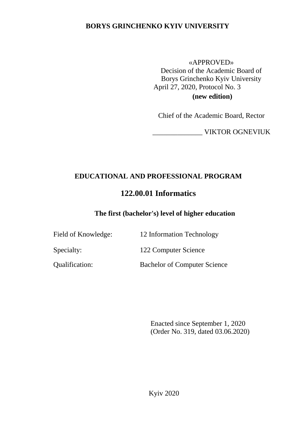## **BORYS GRINCHENKO KYIV UNIVERSITY**

#### «APPROVED»

Decision of the Academic Board of Borys Grinchenko Kyiv University April 27, 2020, Protocol No. 3 **(new edition)**

Chief of the Academic Board, Rector

\_\_\_\_\_\_\_\_\_\_\_\_\_\_ VIKTOR OGNEVIUK

# **EDUCATIONAL AND PROFESSIONAL PROGRAM**

# **122.00.01 Informatics**

## **The first (bachelor's) level of higher education**

| Field of Knowledge: | 12 Information Technology |
|---------------------|---------------------------|
| Specialty:          | 122 Computer Science      |

Qualification: Bachelor of Computer Science

Enacted since September 1, 2020 (Order No. 319, dated 03.06.2020)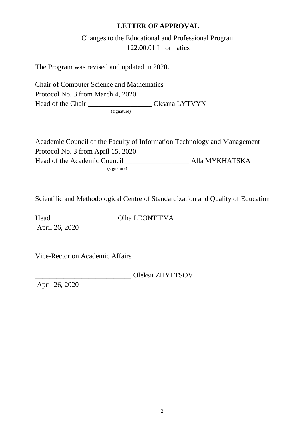## **LETTER OF APPROVAL**

Changes to the Educational and Professional Program 122.00.01 Informatics

The Program was revised and updated in 2020.

Chair of Computer Science and Mathematics Protocol No. 3 from March 4, 2020 Head of the Chair \_\_\_\_\_\_\_\_\_\_\_\_\_\_\_\_\_\_\_\_\_\_\_\_ Oksana LYTVYN

(signature)

Academic Council of the Faculty of Information Technology and Management Protocol No. 3 from April 15, 2020 Head of the Academic Council \_\_\_\_\_\_\_\_\_\_\_\_\_\_\_\_\_\_ Alla MYKHATSKA (signature)

Scientific and Methodological Centre of Standardization and Quality of Education

Head \_\_\_\_\_\_\_\_\_\_\_\_\_\_\_\_\_\_ Olha LEONTIEVA April 26, 2020

Vice-Rector on Academic Affairs

\_\_\_\_\_\_\_\_\_\_\_\_\_\_\_\_\_\_\_\_\_\_\_\_\_\_\_ Oleksii ZHYLTSOV

April 26, 2020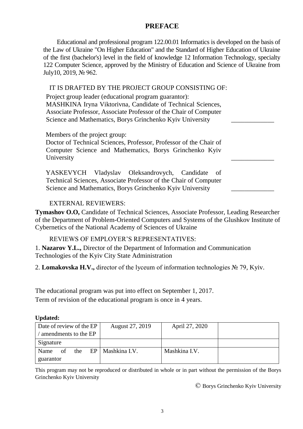## **PREFACE**

Educational and professional program 122.00.01 Informatics is developed on the basis of the Law of Ukraine "On Higher Education" and the Standard of Higher Education of Ukraine of the first (bachelor's) level in the field of knowledge 12 Information Technology, specialty 122 Computer Science, approved by the Ministry of Education and Science of Ukraine from July10, 2019, № 962.

#### IT IS DRAFTED BY THE PROJECT GROUP CONSISTING OF:

| Project group leader (educational program guarantor):             |  |
|-------------------------------------------------------------------|--|
| MASHKINA Iryna Viktorivna, Candidate of Technical Sciences,       |  |
| Associate Professor, Associate Professor of the Chair of Computer |  |
| Science and Mathematics, Borys Grinchenko Kyiv University         |  |
|                                                                   |  |

Members of the project group:

Doctor of Technical Sciences, Professor, Professor of the Chair of Computer Science and Mathematics, Borys Grinchenko Kyiv University

YASKEVYCH Vladyslav Oleksandrovych, Candidate of Technical Sciences, Associate Professor of the Chair of Computer Science and Mathematics, Borys Grinchenko Kyiv University

#### EXTERNAL REVIEWERS:

**Tymashov O.O,** Candidate of Technical Sciences, Associate Professor, Leading Researcher of the Department of Problem-Oriented Computers and Systems of the Glushkov Institute of Cybernetics of the National Academy of Sciences of Ukraine

#### REVIEWS OF EMPLOYER'S REPRESENTATIVES:

1. **Nazarov Y.L.,** Director of the Department of Information and Communication Technologies of the Kyiv City State Administration

2. **Lomakovska H.V.,** director of the lyceum of information technologies № 79, Kyiv.

The educational program was put into effect on September 1, 2017. Term of revision of the educational program is once in 4 years.

#### **Updated:**

| Date of review of the EP | August 27, 2019             | April 27, 2020 |  |
|--------------------------|-----------------------------|----------------|--|
| amendments to the EP     |                             |                |  |
| Signature                |                             |                |  |
| of<br>Name               | the $EP \mid$ Mashkina I.V. | Mashkina I.V.  |  |
| guarantor                |                             |                |  |

This program may not be reproduced or distributed in whole or in part without the permission of the Borys Grinchenko Kyiv University

© Borys Grinchenko Kyiv University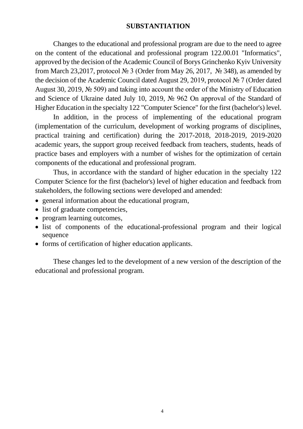## **SUBSTANTIATION**

Changes to the educational and professional program are due to the need to agree on the content of the educational and professional program 122.00.01 "Informatics", approved by the decision of the Academic Council of Borys Grinchenko Kyiv University from March 23,2017, protocol № 3 (Order from May 26, 2017, № 348), as amended by the decision of the Academic Council dated August 29, 2019, protocol № 7 (Order dated August 30, 2019, № 509) and taking into account the order of the Ministry of Education and Science of Ukraine dated July 10, 2019, № 962 On approval of the Standard of Higher Education in the specialty 122 "Computer Science" for the first (bachelor's) level.

In addition, in the process of implementing of the educational program (implementation of the curriculum, development of working programs of disciplines, practical training and certification) during the 2017-2018, 2018-2019, 2019-2020 academic years, the support group received feedback from teachers, students, heads of practice bases and employers with a number of wishes for the optimization of certain components of the educational and professional program.

Thus, in accordance with the standard of higher education in the specialty 122 Computer Science for the first (bachelor's) level of higher education and feedback from stakeholders, the following sections were developed and amended:

- general information about the educational program,
- list of graduate competencies,
- program learning outcomes,
- list of components of the educational-professional program and their logical sequence
- forms of certification of higher education applicants.

These changes led to the development of a new version of the description of the educational and professional program.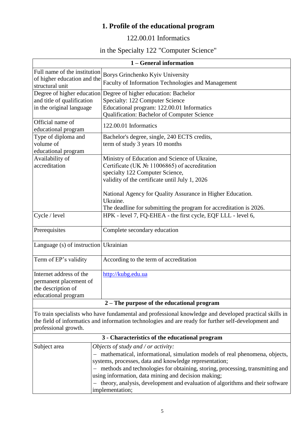# **1. Profile of the educational program**

# 122.00.01 Informatics

# in the Specialty 122 "Computer Science"

| 1 – General information                                                                        |                                                                                                                                                                                                                                                                          |  |
|------------------------------------------------------------------------------------------------|--------------------------------------------------------------------------------------------------------------------------------------------------------------------------------------------------------------------------------------------------------------------------|--|
| Full name of the institution<br>of higher education and the<br>structural unit                 | Borys Grinchenko Kyiv University<br>Faculty of Information Technologies and Management                                                                                                                                                                                   |  |
| Degree of higher education<br>and title of qualification<br>in the original language           | Degree of higher education: Bachelor<br>Specialty: 122 Computer Science<br>Educational program: 122.00.01 Informatics<br>Qualification: Bachelor of Computer Science                                                                                                     |  |
| Official name of<br>educational program                                                        | 122.00.01 Informatics                                                                                                                                                                                                                                                    |  |
| Type of diploma and<br>volume of<br>educational program                                        | Bachelor's degree, single, 240 ECTS credits,<br>term of study 3 years 10 months                                                                                                                                                                                          |  |
| Availability of<br>accreditation                                                               | Ministry of Education and Science of Ukraine,<br>Certificate (UK $\mathbb{N}$ <sup>o</sup> 11006865) of accreditation<br>specialty 122 Computer Science,<br>validity of the certificate until July 1, 2026<br>National Agency for Quality Assurance in Higher Education. |  |
|                                                                                                | Ukraine.<br>The deadline for submitting the program for accreditation is 2026.                                                                                                                                                                                           |  |
| Cycle / level                                                                                  | HPK - level 7, FQ-EHEA - the first cycle, EQF LLL - level 6,                                                                                                                                                                                                             |  |
| Prerequisites                                                                                  | Complete secondary education                                                                                                                                                                                                                                             |  |
| Language (s) of instruction Ukrainian                                                          |                                                                                                                                                                                                                                                                          |  |
| Term of EP's validity                                                                          | According to the term of accreditation                                                                                                                                                                                                                                   |  |
| Internet address of the<br>permanent placement of<br>the description of<br>educational program | http://kubg.edu.ua                                                                                                                                                                                                                                                       |  |
| 2 – The purpose of the educational program                                                     |                                                                                                                                                                                                                                                                          |  |

To train specialists who have fundamental and professional knowledge and developed practical skills in the field of informatics and information technologies and are ready for further self-development and professional growth.

| 3 - Characteristics of the educational program |                                                                                 |  |  |
|------------------------------------------------|---------------------------------------------------------------------------------|--|--|
| Subject area                                   | Objects of study and / or activity:                                             |  |  |
|                                                | - mathematical, informational, simulation models of real phenomena, objects,    |  |  |
|                                                | systems, processes, data and knowledge representation;                          |  |  |
|                                                | - methods and technologies for obtaining, storing, processing, transmitting and |  |  |
|                                                | using information, data mining and decision making;                             |  |  |
|                                                | - theory, analysis, development and evaluation of algorithms and their software |  |  |
|                                                | implementation;                                                                 |  |  |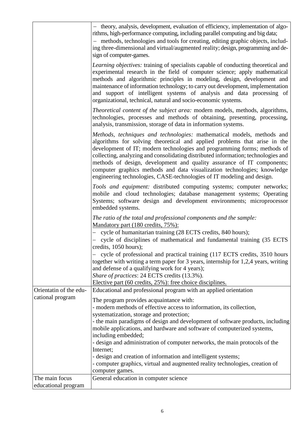|                        | - theory, analysis, development, evaluation of efficiency, implementation of algo-<br>rithms, high-performance computing, including parallel computing and big data;<br>- methods, technologies and tools for creating, editing graphic objects, includ-<br>ing three-dimensional and virtual/augmented reality; design, programming and de-<br>sign of computer-games.                                                                                                                                                                              |
|------------------------|------------------------------------------------------------------------------------------------------------------------------------------------------------------------------------------------------------------------------------------------------------------------------------------------------------------------------------------------------------------------------------------------------------------------------------------------------------------------------------------------------------------------------------------------------|
|                        | Learning objectives: training of specialists capable of conducting theoretical and<br>experimental research in the field of computer science; apply mathematical<br>methods and algorithmic principles in modeling, design, development and<br>maintenance of information technology; to carry out development, implementation<br>and support of intelligent systems of analysis and data processing of<br>organizational, technical, natural and socio-economic systems.                                                                            |
|                        | Theoretical content of the subject area: modern models, methods, algorithms,<br>technologies, processes and methods of obtaining, presenting, processing,<br>analysis, transmission, storage of data in information systems.                                                                                                                                                                                                                                                                                                                         |
|                        | Methods, techniques and technologies: mathematical models, methods and<br>algorithms for solving theoretical and applied problems that arise in the<br>development of IT; modern technologies and programming forms; methods of<br>collecting, analyzing and consolidating distributed information; technologies and<br>methods of design, development and quality assurance of IT components;<br>computer graphics methods and data visualization technologies; knowledge<br>engineering technologies, CASE-technologies of IT modeling and design. |
|                        | Tools and equipment: distributed computing systems; computer networks;<br>mobile and cloud technologies; database management systems; Operating<br>Systems; software design and development environments; microprocessor<br>embedded systems.                                                                                                                                                                                                                                                                                                        |
|                        | The ratio of the total and professional components and the sample:<br><u>Mandatory part (180 credits, 75%):</u><br>- cycle of humanitarian training (28 ECTS credits, 840 hours);<br>cycle of disciplines of mathematical and fundamental training (35 ECTS)<br>credits, 1050 hours);                                                                                                                                                                                                                                                                |
|                        | cycle of professional and practical training (117 ECTS credits, 3510 hours<br>together with writing a term paper for 3 years, internship for 1,2,4 years, writing<br>and defense of a qualifying work for 4 years);<br>Share of practices: 24 ECTS credits (13.3%).<br>Elective part (60 credits, 25%): free choice disciplines.                                                                                                                                                                                                                     |
| Orientatin of the edu- | Educational and professional program with an applied orientation                                                                                                                                                                                                                                                                                                                                                                                                                                                                                     |
| cational program       | The program provides acquaintance with:<br>- modern methods of effective access to information, its collection,<br>systematization, storage and protection;<br>- the main paradigms of design and development of software products, including<br>mobile applications, and hardware and software of computerized systems,<br>including embedded;                                                                                                                                                                                                      |
|                        | - design and administration of computer networks, the main protocols of the<br>Internet;<br>- design and creation of information and intelligent systems;                                                                                                                                                                                                                                                                                                                                                                                            |
|                        | - computer graphics, virtual and augmented reality technologies, creation of<br>computer games.                                                                                                                                                                                                                                                                                                                                                                                                                                                      |
| The main focus         | General education in computer science                                                                                                                                                                                                                                                                                                                                                                                                                                                                                                                |
| educational program    |                                                                                                                                                                                                                                                                                                                                                                                                                                                                                                                                                      |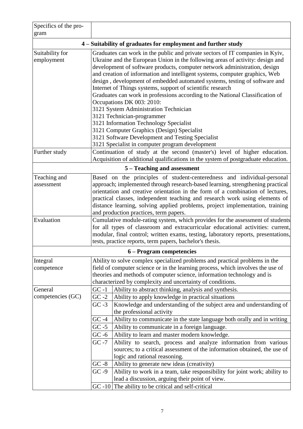| Specifics of the pro-<br>gram                                 |                                                                                                                                                                                                                                                                                                                                                                                                                                                                                                                                         |                                                                                                                                                                                                                                                                                                                                                                                                                                                                                                                                                                                                                                                                                                                                                                                                                                                            |  |  |
|---------------------------------------------------------------|-----------------------------------------------------------------------------------------------------------------------------------------------------------------------------------------------------------------------------------------------------------------------------------------------------------------------------------------------------------------------------------------------------------------------------------------------------------------------------------------------------------------------------------------|------------------------------------------------------------------------------------------------------------------------------------------------------------------------------------------------------------------------------------------------------------------------------------------------------------------------------------------------------------------------------------------------------------------------------------------------------------------------------------------------------------------------------------------------------------------------------------------------------------------------------------------------------------------------------------------------------------------------------------------------------------------------------------------------------------------------------------------------------------|--|--|
| 4 – Suitability of graduates for employment and further study |                                                                                                                                                                                                                                                                                                                                                                                                                                                                                                                                         |                                                                                                                                                                                                                                                                                                                                                                                                                                                                                                                                                                                                                                                                                                                                                                                                                                                            |  |  |
| Suitability for<br>employment                                 |                                                                                                                                                                                                                                                                                                                                                                                                                                                                                                                                         | Graduates can work in the public and private sectors of IT companies in Kyiv,<br>Ukraine and the European Union in the following areas of activity: design and<br>development of software products, computer network administration, design<br>and creation of information and intelligent systems, computer graphics, Web<br>design, development of embedded automated systems, testing of software and<br>Internet of Things systems, support of scientific research<br>Graduates can work in professions according to the National Classification of<br>Occupations DK 003: 2010:<br>3121 System Administration Technician<br>3121 Technician-programmer<br>3121 Information Technology Specialist<br>3121 Computer Graphics (Design) Specialist<br>3121 Software Development and Testing Specialist<br>3121 Specialist in computer program development |  |  |
| Further study                                                 |                                                                                                                                                                                                                                                                                                                                                                                                                                                                                                                                         | Continuation of study at the second (master's) level of higher education.<br>Acquisition of additional qualifications in the system of postgraduate education.                                                                                                                                                                                                                                                                                                                                                                                                                                                                                                                                                                                                                                                                                             |  |  |
| 5 – Teaching and assessment                                   |                                                                                                                                                                                                                                                                                                                                                                                                                                                                                                                                         |                                                                                                                                                                                                                                                                                                                                                                                                                                                                                                                                                                                                                                                                                                                                                                                                                                                            |  |  |
| Teaching and<br>assessment<br>Evaluation                      | Based on the principles of student-centeredness and individual-personal<br>approach; implemented through research-based learning, strengthening practical<br>orientation and creative orientation in the form of a combination of lectures,<br>practical classes, independent teaching and research work using elements of<br>distance learning, solving applied problems, project implementation, training<br>and production practices, term papers.<br>Cumulative module-rating system, which provides for the assessment of students |                                                                                                                                                                                                                                                                                                                                                                                                                                                                                                                                                                                                                                                                                                                                                                                                                                                            |  |  |
|                                                               | for all types of classroom and extracurricular educational activities: current,<br>modular, final control; written exams, testing, laboratory reports, presentations,<br>tests, practice reports, term papers, bachelor's thesis.                                                                                                                                                                                                                                                                                                       |                                                                                                                                                                                                                                                                                                                                                                                                                                                                                                                                                                                                                                                                                                                                                                                                                                                            |  |  |
|                                                               |                                                                                                                                                                                                                                                                                                                                                                                                                                                                                                                                         | 6 – Program competencies                                                                                                                                                                                                                                                                                                                                                                                                                                                                                                                                                                                                                                                                                                                                                                                                                                   |  |  |
| Integral<br>competence                                        | Ability to solve complex specialized problems and practical problems in the<br>field of computer science or in the learning process, which involves the use of<br>theories and methods of computer science, information technology and is<br>characterized by complexity and uncertainty of conditions.                                                                                                                                                                                                                                 |                                                                                                                                                                                                                                                                                                                                                                                                                                                                                                                                                                                                                                                                                                                                                                                                                                                            |  |  |
| General<br>competencies (GC)                                  | $GC -1$<br>$GC -2$<br>$GC -3$<br>$GC -4$<br>$GC -5$<br>$GC -6$<br>$GC -7$<br>$GC - 8$<br>$GC -9$                                                                                                                                                                                                                                                                                                                                                                                                                                        | Ability to abstract thinking, analysis and synthesis.<br>Ability to apply knowledge in practical situations<br>Knowledge and understanding of the subject area and understanding of<br>the professional activity<br>Ability to communicate in the state language both orally and in writing<br>Ability to communicate in a foreign language.<br>Ability to learn and master modern knowledge.<br>Ability to search, process and analyze information from various<br>sources; to a critical assessment of the information obtained, the use of<br>logic and rational reasoning.<br>Ability to generate new ideas (creativity)<br>Ability to work in a team, take responsibility for joint work; ability to<br>lead a discussion, arguing their point of view.                                                                                               |  |  |
|                                                               |                                                                                                                                                                                                                                                                                                                                                                                                                                                                                                                                         | $GC - 10$ The ability to be critical and self-critical                                                                                                                                                                                                                                                                                                                                                                                                                                                                                                                                                                                                                                                                                                                                                                                                     |  |  |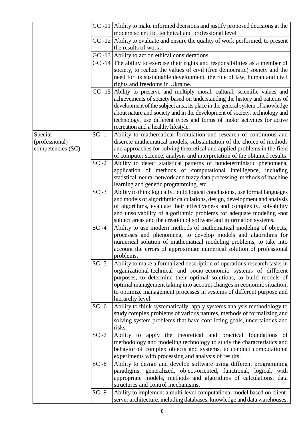|                                                                    |          | GC -11   Ability to make informed decisions and justify proposed decisions at the<br>modern scientific, technical and professional level    |
|--------------------------------------------------------------------|----------|---------------------------------------------------------------------------------------------------------------------------------------------|
|                                                                    |          | $GC -12$ Ability to evaluate and ensure the quality of work performed, to present<br>the results of work.                                   |
|                                                                    |          | $GC -13$ Ability to act on ethical considerations.                                                                                          |
|                                                                    |          | $GC -14$ The ability to exercise their rights and responsibilities as a member of                                                           |
|                                                                    |          | society, to realize the values of civil (free democratic) society and the                                                                   |
|                                                                    |          | need for its sustainable development, the rule of law, human and civil                                                                      |
|                                                                    |          | rights and freedoms in Ukraine.                                                                                                             |
|                                                                    |          | GC-15 Ability to preserve and multiply moral, cultural, scientific values and                                                               |
|                                                                    |          | achievements of society based on understanding the history and patterns of                                                                  |
|                                                                    |          | development of the subject area, its place in the general system of knowledge                                                               |
|                                                                    |          | about nature and society and in the development of society, technology and                                                                  |
|                                                                    |          | technology, use different types and forms of motor activities for active                                                                    |
|                                                                    |          | recreation and a healthy lifestyle.                                                                                                         |
| Special<br>(professional)                                          | $SC -1$  | Ability to mathematical formulation and research of continuous and<br>discrete mathematical models, substantiation of the choice of methods |
| competencies (SC)                                                  |          | and approaches for solving theoretical and applied problems in the field                                                                    |
|                                                                    |          | of computer science, analysis and interpretation of the obtained results.                                                                   |
|                                                                    | $SC - 2$ | Ability to detect statistical patterns of nondeterministic phenomena,                                                                       |
|                                                                    |          | application of methods of computational intelligence, including                                                                             |
|                                                                    |          | statistical, neural network and fuzzy data processing, methods of machine                                                                   |
|                                                                    |          | learning and genetic programming, etc.                                                                                                      |
|                                                                    | $SC - 3$ | Ability to think logically, build logical conclusions, use formal languages                                                                 |
|                                                                    |          | and models of algorithmic calculations, design, development and analysis                                                                    |
|                                                                    |          | of algorithms, evaluate their effectiveness and complexity, solvability                                                                     |
|                                                                    |          | and unsolvability of algorithmic problems for adequate modeling -not                                                                        |
|                                                                    | $SC -4$  | subject areas and the creation of software and information systems.<br>Ability to use modern methods of mathematical modeling of objects,   |
|                                                                    |          | processes and phenomena, to develop models and algorithms for                                                                               |
|                                                                    |          | numerical solution of mathematical modeling problems, to take into                                                                          |
|                                                                    |          | account the errors of approximate numerical solution of professional                                                                        |
|                                                                    |          | problems.                                                                                                                                   |
|                                                                    | $SC - 5$ | Ability to make a formalized description of operations research tasks in                                                                    |
|                                                                    |          | organizational-technical and socio-economic systems of different                                                                            |
|                                                                    |          | purposes, to determine their optimal solutions, to build models of                                                                          |
|                                                                    |          | optimal management taking into account changes in economic situation,                                                                       |
|                                                                    |          | to optimize management processes in systems of different purpose and<br>hierarchy level.                                                    |
|                                                                    | $SC - 6$ | Ability to think systematically, apply systems analysis methodology to                                                                      |
|                                                                    |          | study complex problems of various natures, methods of formalizing and                                                                       |
|                                                                    |          | solving system problems that have conflicting goals, uncertainties and                                                                      |
|                                                                    |          | risks.                                                                                                                                      |
|                                                                    | $SC -7$  | Ability to apply the theoretical and practical foundations of                                                                               |
|                                                                    |          | methodology and modeling technology to study the characteristics and                                                                        |
|                                                                    |          | behavior of complex objects and systems, to conduct computational                                                                           |
|                                                                    |          | experiments with processing and analysis of results.                                                                                        |
|                                                                    | $SC - 8$ | Ability to design and develop software using different programming                                                                          |
| paradigms: generalized, object-oriented, functional, logical, with |          |                                                                                                                                             |
|                                                                    |          | appropriate models, methods and algorithms of calculations, data<br>structures and control mechanisms.                                      |
|                                                                    | $SC - 9$ | Ability to implement a multi-level computational model based on client-                                                                     |
|                                                                    |          | server architecture, including databases, knowledge and data warehouses,                                                                    |
|                                                                    |          |                                                                                                                                             |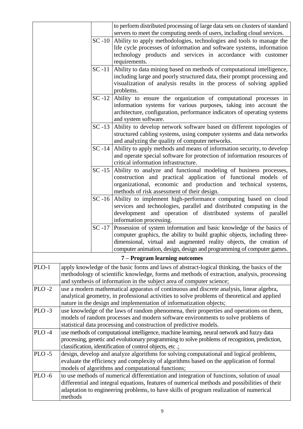|           |                                                                                                                                                                                                                                                                 |           | to perform distributed processing of large data sets on clusters of standard<br>servers to meet the computing needs of users, including cloud services.                                                                                                                                |
|-----------|-----------------------------------------------------------------------------------------------------------------------------------------------------------------------------------------------------------------------------------------------------------------|-----------|----------------------------------------------------------------------------------------------------------------------------------------------------------------------------------------------------------------------------------------------------------------------------------------|
|           |                                                                                                                                                                                                                                                                 |           | SC-10 Ability to apply methodologies, technologies and tools to manage the<br>life cycle processes of information and software systems, information<br>technology products and services in accordance with customer<br>requirements.                                                   |
|           |                                                                                                                                                                                                                                                                 | $SC-11$   | Ability to data mining based on methods of computational intelligence,<br>including large and poorly structured data, their prompt processing and<br>visualization of analysis results in the process of solving applied<br>problems.                                                  |
|           |                                                                                                                                                                                                                                                                 | $SC-12$   | Ability to ensure the organization of computational processes in<br>information systems for various purposes, taking into account the<br>architecture, configuration, performance indicators of operating systems<br>and system software.                                              |
|           |                                                                                                                                                                                                                                                                 | $SC-13$   | Ability to develop network software based on different topologies of<br>structured cabling systems, using computer systems and data networks<br>and analyzing the quality of computer networks.                                                                                        |
|           |                                                                                                                                                                                                                                                                 | $SC - 14$ | Ability to apply methods and means of information security, to develop<br>and operate special software for protection of information resources of<br>critical information infrastructure.                                                                                              |
|           |                                                                                                                                                                                                                                                                 | $SC - 15$ | Ability to analyze and functional modeling of business processes,<br>construction and practical application of functional models of<br>organizational, economic and production and technical systems,<br>methods of risk assessment of their design.                                   |
|           | SC-16 Ability to implement high-performance computing based on cloud                                                                                                                                                                                            |           | services and technologies, parallel and distributed computing in the<br>development and operation of distributed systems of parallel<br>information processing.                                                                                                                        |
|           | SC-17 Possession of system information and basic knowledge of the basics of                                                                                                                                                                                     |           | computer graphics, the ability to build graphic objects, including three-<br>dimensional, virtual and augmented reality objects, the creation of<br>computer animation, design, design and programming of computer games.                                                              |
|           |                                                                                                                                                                                                                                                                 |           | 7 – Program learning outcomes                                                                                                                                                                                                                                                          |
| PLO-1     |                                                                                                                                                                                                                                                                 |           | apply knowledge of the basic forms and laws of abstract-logical thinking, the basics of the<br>methodology of scientific knowledge, forms and methods of extraction, analysis, processing<br>and synthesis of information in the subject area of computer science;                     |
| $PLO-2$   | use a modern mathematical apparatus of continuous and discrete analysis, linear algebra,<br>analytical geometry, in professional activities to solve problems of theoretical and applied<br>nature in the design and implementation of informatization objects; |           |                                                                                                                                                                                                                                                                                        |
| $PLO-3$   | use knowledge of the laws of random phenomena, their properties and operations on them,<br>models of random processes and modern software environments to solve problems of<br>statistical data processing and construction of predictive models.               |           |                                                                                                                                                                                                                                                                                        |
| $PLO -4$  | use methods of computational intelligence, machine learning, neural network and fuzzy data<br>processing, genetic and evolutionary programming to solve problems of recognition, prediction,<br>classification, identification of control objects, etc .;       |           |                                                                                                                                                                                                                                                                                        |
| $PLO - 5$ |                                                                                                                                                                                                                                                                 |           | design, develop and analyze algorithms for solving computational and logical problems,<br>evaluate the efficiency and complexity of algorithms based on the application of formal<br>models of algorithms and computational functions;                                                 |
| $PLO - 6$ | methods                                                                                                                                                                                                                                                         |           | to use methods of numerical differentiation and integration of functions, solution of usual<br>differential and integral equations, features of numerical methods and possibilities of their<br>adaptation to engineering problems, to have skills of program realization of numerical |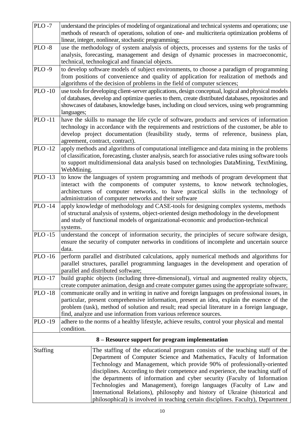| $PLO - 7$       | understand the principles of modeling of organizational and technical systems and operations; use     |  |  |
|-----------------|-------------------------------------------------------------------------------------------------------|--|--|
|                 | methods of research of operations, solution of one- and multicriteria optimization problems of        |  |  |
|                 | linear, integer, nonlinear, stochastic programming;                                                   |  |  |
| $PLO - 8$       | use the methodology of system analysis of objects, processes and systems for the tasks of             |  |  |
|                 | analysis, forecasting, management and design of dynamic processes in macroeconomic,                   |  |  |
|                 | technical, technological and financial objects.                                                       |  |  |
| <b>PLO-9</b>    | to develop software models of subject environments, to choose a paradigm of programming               |  |  |
|                 | from positions of convenience and quality of application for realization of methods and               |  |  |
|                 | algorithms of the decision of problems in the field of computer sciences;                             |  |  |
| <b>PLO-10</b>   | use tools for developing client-server applications, design conceptual, logical and physical models   |  |  |
|                 | of databases, develop and optimize queries to them, create distributed databases, repositories and    |  |  |
|                 | showcases of databases, knowledge bases, including on cloud services, using web programming           |  |  |
|                 | languages;                                                                                            |  |  |
| <b>PLO-11</b>   | have the skills to manage the life cycle of software, products and services of information            |  |  |
|                 | technology in accordance with the requirements and restrictions of the customer, be able to           |  |  |
|                 | develop project documentation (feasibility study, terms of reference, business plan,                  |  |  |
|                 | agreement, contract, contract).                                                                       |  |  |
| <b>PLO-12</b>   | apply methods and algorithms of computational intelligence and data mining in the problems            |  |  |
|                 | of classification, forecasting, cluster analysis, search for associative rules using software tools   |  |  |
|                 | to support multidimensional data analysis based on technologies DataMining, TextMining,               |  |  |
|                 | WebMining.                                                                                            |  |  |
| <b>PLO-13</b>   | to know the languages of system programming and methods of program development that                   |  |  |
|                 | interact with the components of computer systems, to know network technologies,                       |  |  |
|                 | architectures of computer networks, to have practical skills in the technology of                     |  |  |
|                 | administration of computer networks and their software                                                |  |  |
| <b>PLO-14</b>   | apply knowledge of methodology and CASE-tools for designing complex systems, methods                  |  |  |
|                 | of structural analysis of systems, object-oriented design methodology in the development              |  |  |
|                 | and study of functional models of organizational-economic and production-technical                    |  |  |
| <b>PLO-15</b>   | systems.<br>understand the concept of information security, the principles of secure software design, |  |  |
|                 | ensure the security of computer networks in conditions of incomplete and uncertain source             |  |  |
|                 | data                                                                                                  |  |  |
| <b>PLO-16</b>   | perform parallel and distributed calculations, apply numerical methods and algorithms for             |  |  |
|                 | parallel structures, parallel programming languages in the development and operation of               |  |  |
|                 | parallel and distributed software;                                                                    |  |  |
| <b>PLO-17</b>   | build graphic objects (including three-dimensional), virtual and augmented reality objects,           |  |  |
|                 | create computer animation, design and create computer games using the appropriate software;           |  |  |
| <b>PLO-18</b>   | communicate orally and in writing in native and foreign languages on professional issues, in          |  |  |
|                 | particular, present comprehensive information, present an idea, explain the essence of the            |  |  |
|                 | problem (task), method of solution and result; read special literature in a foreign language,         |  |  |
|                 | find, analyze and use information from various reference sources.                                     |  |  |
| PLO-19          | adhere to the norms of a healthy lifestyle, achieve results, control your physical and mental         |  |  |
|                 | condition.                                                                                            |  |  |
|                 | 8 – Resource support for program implementation                                                       |  |  |
| <b>Staffing</b> | The staffing of the educational program consists of the teaching staff of the                         |  |  |
|                 | Department of Computer Science and Mathematics, Faculty of Information                                |  |  |
|                 | Technology and Management, which provide 90% of professionally-oriented                               |  |  |
|                 | disciplines. According to their competence and experience, the teaching staff of                      |  |  |
|                 | the departments of information and cyber security (Faculty of Information                             |  |  |
|                 | Technologies and Management), foreign languages (Faculty of Law and                                   |  |  |
|                 | International Relations), philosophy and history of Ukraine (historical and                           |  |  |
|                 | philosophical) is involved in teaching certain disciplines. Faculty), Department                      |  |  |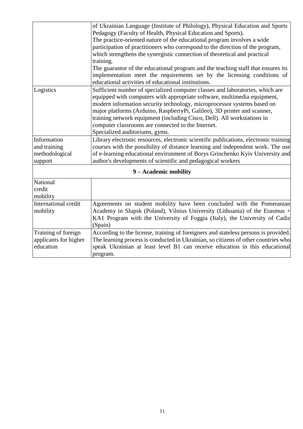|                                                           | of Ukrainian Language (Institute of Philology), Physical Education and Sports<br>Pedagogy (Faculty of Health, Physical Education and Sports).<br>The practice-oriented nature of the educational program involves a wide<br>participation of practitioners who correspond to the direction of the program,<br>which strengthens the synergistic connection of theoretical and practical<br>training.                                                                                |
|-----------------------------------------------------------|-------------------------------------------------------------------------------------------------------------------------------------------------------------------------------------------------------------------------------------------------------------------------------------------------------------------------------------------------------------------------------------------------------------------------------------------------------------------------------------|
|                                                           | The guarantor of the educational program and the teaching staff that ensures its<br>implementation meet the requirements set by the licensing conditions of<br>educational activities of educational institutions.                                                                                                                                                                                                                                                                  |
| Logistics                                                 | Sufficient number of specialized computer classes and laboratories, which are<br>equipped with computers with appropriate software, multimedia equipment,<br>modern information security technology, microprocessor systems based on<br>major platforms (Arduino, RaspberryPi, Galileo), 3D printer and scanner,<br>training network equipment (including Cisco, Dell). All workstations in<br>computer classrooms are connected to the Internet.<br>Specialized auditoriums, gyms. |
| Information<br>and training<br>methodological<br>support  | Library electronic resources, electronic scientific publications, electronic training<br>courses with the possibility of distance learning and independent work. The use<br>of e-learning educational environment of Borys Grinchenko Kyiv University and<br>author's developments of scientific and pedagogical workers                                                                                                                                                            |
|                                                           | 9 - Academic mobility                                                                                                                                                                                                                                                                                                                                                                                                                                                               |
| National<br>credit<br>mobility                            |                                                                                                                                                                                                                                                                                                                                                                                                                                                                                     |
| International credit<br>mobility                          | Agreements on student mobility have been concluded with the Pomeranian<br>Academy in Slupsk (Poland), Vilnius University (Lithuania) of the Erasmus +<br>KA1 Program with the University of Foggia (Italy), the University of Cadiz<br>(Spain)                                                                                                                                                                                                                                      |
| Training of foreign<br>applicants for higher<br>education | According to the license, training of foreigners and stateless persons is provided.<br>The learning process is conducted in Ukrainian, so citizens of other countries who<br>speak Ukrainian at least level B1 can receive education in this educational<br>program.                                                                                                                                                                                                                |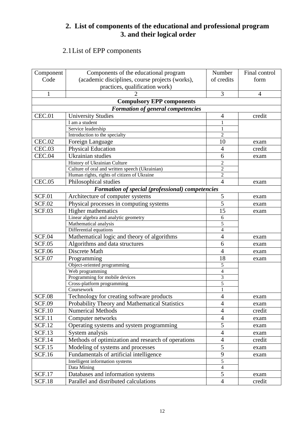# **2. List of components of the educational and professional program 3. and their logical order**

# 2.1List of EPP components

| Component     | Components of the educational program              | Number         | Final control  |
|---------------|----------------------------------------------------|----------------|----------------|
| Code          | (academic disciplines, course projects (works),    | of credits     | form           |
|               | practices, qualification work)                     |                |                |
| $\mathbf{1}$  |                                                    | 3              | $\overline{4}$ |
|               | <b>Compulsory EPP components</b>                   |                |                |
|               | <b>Formation of general competencies</b>           |                |                |
| CEC.01        | <b>University Studies</b>                          | 4              | credit         |
|               | I am a student                                     |                |                |
|               | Service leadership                                 | $\mathbf{1}$   |                |
|               | Introduction to the specialty                      | $\overline{2}$ |                |
| <b>CEC.02</b> | Foreign Language                                   | 10             | exam           |
| CEC.03        | <b>Physical Education</b>                          | 4              | credit         |
| CEC.04        | Ukrainian studies                                  | 6              |                |
|               | History of Ukrainian Culture                       | $\overline{2}$ | exam           |
|               | Culture of oral and written speech (Ukrainian)     | $\overline{c}$ |                |
|               | Human rights, rights of citizen of Ukraine         | $\overline{2}$ |                |
| <b>CEC.05</b> | Philosophical studies                              | $\overline{4}$ | exam           |
|               | Formation of special (professional) competencies   |                |                |
| SCF.01        | Architecture of computer systems                   | 5              | exam           |
| <b>SCF.02</b> | Physical processes in computing systems            | 5              | exam           |
| <b>SCF.03</b> | <b>Higher mathematics</b>                          | 15             |                |
|               | Linear algebra and analytic geometry               | 6              | exam           |
|               | Mathematical analysis                              | 5              |                |
|               | Differential equations                             | $\overline{4}$ |                |
| <b>SCF.04</b> | Mathematical logic and theory of algorithms        | 4              | exam           |
| <b>SCF.05</b> | Algorithms and data structures                     | 6              | exam           |
| <b>SCF.06</b> | Discrete Math                                      | 4              | exam           |
| <b>SCF.07</b> | Programming                                        | 18             | exam           |
|               | Object-oriented programming                        | 5              |                |
|               | $\overline{W}$ eb programming                      | $\overline{4}$ |                |
|               | Programming for mobile devices                     | 3              |                |
|               | Cross-platform programming                         | 5              |                |
|               | Coursework                                         |                |                |
| <b>SCF.08</b> | Technology for creating software products          | $\overline{4}$ | exam           |
| <b>SCF.09</b> | Probability Theory and Mathematical Statistics     | $\overline{4}$ | exam           |
| <b>SCF.10</b> | <b>Numerical Methods</b>                           | $\overline{4}$ | credit         |
| <b>SCF.11</b> | Computer networks                                  | $\overline{4}$ | exam           |
| <b>SCF.12</b> | Operating systems and system programming           | 5              | exam           |
| <b>SCF.13</b> | System analysis                                    | $\overline{4}$ | exam           |
| <b>SCF.14</b> | Methods of optimization and research of operations | $\overline{4}$ | credit         |
| <b>SCF.15</b> | Modeling of systems and processes                  | 5              | exam           |
| <b>SCF.16</b> | Fundamentals of artificial intelligence            | 9              | exam           |
|               | Intelligent information systems                    | $\overline{5}$ |                |
|               | Data Mining                                        | $\overline{4}$ |                |
| <b>SCF.17</b> | Databases and information systems                  | 5              | exam           |
| <b>SCF.18</b> | Parallel and distributed calculations              | $\overline{4}$ | credit         |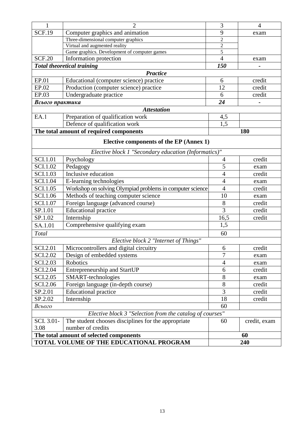| <b>SCF.19</b><br>Computer graphics and animation<br>9<br>exam<br>Three-dimensional computer graphics<br>$\overline{2}$<br>$\overline{2}$<br>Virtual and augmented reality<br>$\overline{5}$<br>Game graphics. Development of computer games<br>$\overline{4}$<br><b>SCF.20</b><br>Information protection<br>exam<br><b>Total theoretical training</b><br>150<br><b>Practice</b><br>EP.01<br>Educational (computer science) practice<br>credit<br>6<br>EP.02<br>Production (computer science) practice<br>12<br>credit<br>EP.03<br>Undergraduate practice<br>6<br>credit |
|-------------------------------------------------------------------------------------------------------------------------------------------------------------------------------------------------------------------------------------------------------------------------------------------------------------------------------------------------------------------------------------------------------------------------------------------------------------------------------------------------------------------------------------------------------------------------|
|                                                                                                                                                                                                                                                                                                                                                                                                                                                                                                                                                                         |
|                                                                                                                                                                                                                                                                                                                                                                                                                                                                                                                                                                         |
|                                                                                                                                                                                                                                                                                                                                                                                                                                                                                                                                                                         |
|                                                                                                                                                                                                                                                                                                                                                                                                                                                                                                                                                                         |
|                                                                                                                                                                                                                                                                                                                                                                                                                                                                                                                                                                         |
|                                                                                                                                                                                                                                                                                                                                                                                                                                                                                                                                                                         |
|                                                                                                                                                                                                                                                                                                                                                                                                                                                                                                                                                                         |
|                                                                                                                                                                                                                                                                                                                                                                                                                                                                                                                                                                         |
|                                                                                                                                                                                                                                                                                                                                                                                                                                                                                                                                                                         |
|                                                                                                                                                                                                                                                                                                                                                                                                                                                                                                                                                                         |
| 24<br>Всього практика                                                                                                                                                                                                                                                                                                                                                                                                                                                                                                                                                   |
| <b>Attestation</b>                                                                                                                                                                                                                                                                                                                                                                                                                                                                                                                                                      |
| EA.1<br>Preparation of qualification work<br>4,5                                                                                                                                                                                                                                                                                                                                                                                                                                                                                                                        |
| 1,5<br>Defence of qualification work                                                                                                                                                                                                                                                                                                                                                                                                                                                                                                                                    |
| The total amount of required components<br>180                                                                                                                                                                                                                                                                                                                                                                                                                                                                                                                          |
|                                                                                                                                                                                                                                                                                                                                                                                                                                                                                                                                                                         |
| Elective components of the EP (Annex 1)                                                                                                                                                                                                                                                                                                                                                                                                                                                                                                                                 |
| Elective block 1 "Secondary education (Informatics)"                                                                                                                                                                                                                                                                                                                                                                                                                                                                                                                    |
| <b>SCI.1.01</b><br>credit<br>Psychology<br>4                                                                                                                                                                                                                                                                                                                                                                                                                                                                                                                            |
| <b>SCI.1.02</b><br>Pedagogy<br>5<br>exam                                                                                                                                                                                                                                                                                                                                                                                                                                                                                                                                |
| Inclusive education<br><b>SCI.1.03</b><br>$\overline{4}$<br>credit                                                                                                                                                                                                                                                                                                                                                                                                                                                                                                      |
| <b>SCI.1.04</b><br>E-learning technologies<br>$\overline{4}$<br>exam                                                                                                                                                                                                                                                                                                                                                                                                                                                                                                    |
| <b>SCI.1.05</b><br>Workshop on solving Olympiad problems in computer science<br>$\overline{4}$<br>credit                                                                                                                                                                                                                                                                                                                                                                                                                                                                |
| Methods of teaching computer science<br><b>SCI.1.06</b><br>10<br>exam                                                                                                                                                                                                                                                                                                                                                                                                                                                                                                   |
| Foreign language (advanced course)<br><b>SCI.1.07</b><br>8<br>credit                                                                                                                                                                                                                                                                                                                                                                                                                                                                                                    |
| $\overline{3}$<br>SP.1.01<br><b>Educational practice</b><br>credit                                                                                                                                                                                                                                                                                                                                                                                                                                                                                                      |
| SP.1.02<br>Internship<br>16,5<br>credit                                                                                                                                                                                                                                                                                                                                                                                                                                                                                                                                 |
| 1,5<br>Comprehensive qualifying exam<br>SA.1.01                                                                                                                                                                                                                                                                                                                                                                                                                                                                                                                         |
| Total<br>60                                                                                                                                                                                                                                                                                                                                                                                                                                                                                                                                                             |
| Elective block 2 "Internet of Things"                                                                                                                                                                                                                                                                                                                                                                                                                                                                                                                                   |
| Microcontrollers and digital circuitry<br><b>SCI.2.01</b><br>credit<br>6                                                                                                                                                                                                                                                                                                                                                                                                                                                                                                |
| 7<br>SCI.2.02<br>Design of embedded systems<br>exam                                                                                                                                                                                                                                                                                                                                                                                                                                                                                                                     |
| SCI.2.03<br>Robotics<br>$\overline{4}$<br>exam                                                                                                                                                                                                                                                                                                                                                                                                                                                                                                                          |
| <b>SCI.2.04</b><br><b>Entrepreneurship and StartUP</b><br>credit<br>6                                                                                                                                                                                                                                                                                                                                                                                                                                                                                                   |
| <b>SCI.2.05</b><br>SMART-technologies<br>8<br>exam                                                                                                                                                                                                                                                                                                                                                                                                                                                                                                                      |
| 8<br>SCI.2.06<br>Foreign language (in-depth course)<br>credit                                                                                                                                                                                                                                                                                                                                                                                                                                                                                                           |
| 3<br><b>Educational practice</b><br>SP.2.01<br>credit                                                                                                                                                                                                                                                                                                                                                                                                                                                                                                                   |
| SP.2.02<br>18<br>Internship<br>credit                                                                                                                                                                                                                                                                                                                                                                                                                                                                                                                                   |
| 60<br>Всього                                                                                                                                                                                                                                                                                                                                                                                                                                                                                                                                                            |
| Elective block 3 "Selection from the catalog of courses"                                                                                                                                                                                                                                                                                                                                                                                                                                                                                                                |
| SCI. 3.01-<br>The student chooses disciplines for the appropriate<br>60<br>credit, exam                                                                                                                                                                                                                                                                                                                                                                                                                                                                                 |
| number of credits<br>3.08                                                                                                                                                                                                                                                                                                                                                                                                                                                                                                                                               |
| The total amount of selected components<br>60                                                                                                                                                                                                                                                                                                                                                                                                                                                                                                                           |
| TOTAL VOLUME OF THE EDUCATIONAL PROGRAM<br>240                                                                                                                                                                                                                                                                                                                                                                                                                                                                                                                          |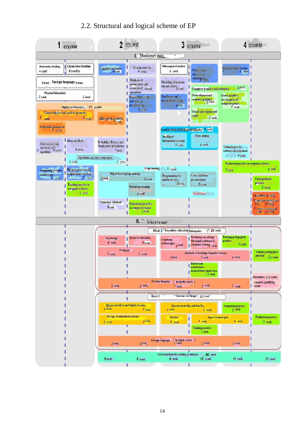# 2.2. Structural and logical scheme of EP

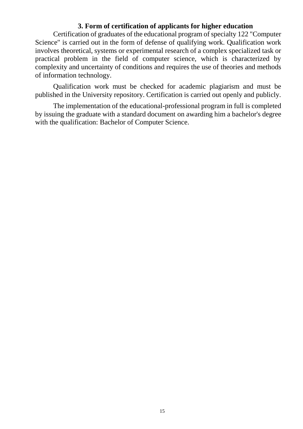### **3. Form of certification of applicants for higher education**

Certification of graduates of the educational program of specialty 122 "Computer Science" is carried out in the form of defense of qualifying work. Qualification work involves theoretical, systems or experimental research of a complex specialized task or practical problem in the field of computer science, which is characterized by complexity and uncertainty of conditions and requires the use of theories and methods of information technology.

Qualification work must be checked for academic plagiarism and must be published in the University repository. Certification is carried out openly and publicly.

The implementation of the educational-professional program in full is completed by issuing the graduate with a standard document on awarding him a bachelor's degree with the qualification: Bachelor of Computer Science.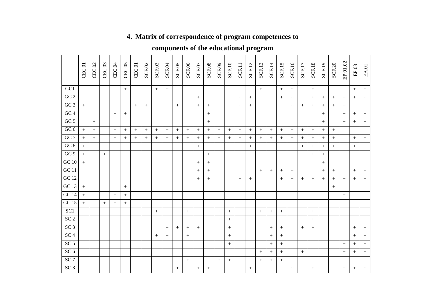# **4. Matrix of correspondence of program competences to**

# **components of the educational program**

|                 | CEC.01 | CEC.02           | CEC.03  | CEC.04           | CEC.05           | CEC.01 | <b>SCF.02</b> | SCF.03           | SCF.04           | SCF.05 | SCF.06           | SCF.07 | SCF.08           | SCF.09    | SCF.10           | SCF.11           | SCF.12 | SCF.13           | SCF.14           | SCF.15           | SCF.16 | SCF.17           | <b>SCF.18</b> | SCF.19           | SCF.20           | EP.01,02         | $\rm EP.03$      | $\text{EA}\!.01$ |
|-----------------|--------|------------------|---------|------------------|------------------|--------|---------------|------------------|------------------|--------|------------------|--------|------------------|-----------|------------------|------------------|--------|------------------|------------------|------------------|--------|------------------|---------------|------------------|------------------|------------------|------------------|------------------|
| GC1             |        |                  |         |                  | $+$              |        |               | $+$              | $+$              |        |                  |        |                  |           |                  |                  |        | $+$              |                  | $+$              | $+$    |                  | $\, +$        |                  |                  |                  | $\, +$           | $\,+\,$          |
| GC2             |        |                  |         |                  |                  |        |               |                  |                  |        |                  | $+$    |                  |           |                  | $+$              | $+$    |                  |                  | $+$              | $+$    |                  | $+$           | $^{+}$           | $^{+}$           | $+$              | $+$              | $\boldsymbol{+}$ |
| GC3             | $+$    |                  |         |                  |                  | $+$    | $^{+}$        |                  |                  | $+$    |                  | $+$    | $^{+}$           |           |                  | $^{+}$           | $+$    |                  |                  |                  | $+$    | $^{+}$           | $^{+}$        | $^{+}$           | $+$              | $+$              |                  |                  |
| GC4             |        |                  |         | $\, +$           | $+$              |        |               |                  |                  |        |                  |        | $^{+}$           |           |                  |                  |        |                  |                  |                  |        |                  |               | $+$              |                  | $^{+}$           | $+$              | $\, +$           |
| GC <sub>5</sub> |        | $+$              |         |                  |                  |        |               |                  |                  |        |                  |        |                  |           |                  |                  |        |                  |                  |                  |        |                  |               | $+$              |                  | $+$              | $^{+}$           | $+$              |
| GC 6            | $+$    | $\boldsymbol{+}$ |         | $\boldsymbol{+}$ | $\boldsymbol{+}$ | $+$    | $+$           | $+$              |                  | $^{+}$ | $+$              | $^{+}$ | $\boldsymbol{+}$ |           | $\boldsymbol{+}$ | $\boldsymbol{+}$ |        | $\boldsymbol{+}$ | $\boldsymbol{+}$ | $\boldsymbol{+}$ | $+$    | $\boldsymbol{+}$ | $\,+\,$       | $\boldsymbol{+}$ | $\boldsymbol{+}$ |                  |                  |                  |
| GC7             | $+$    | $+$              |         | $+$              | $^{+}$           | $+$    | $^{+}$        | $+$              | $^{+}$           | $^{+}$ | $^{+}$           | $^{+}$ | $^{+}$           | $+$       | $^{+}$           | $^{+}$           | $^{+}$ | $+$              | $+$              | $+$              | $^{+}$ | $\, +$           | $+$           | $^{+}$           | $+$              |                  | $+$              | $\,+\,$          |
| GC 8            | $+$    |                  |         |                  |                  |        |               |                  |                  |        |                  | $^{+}$ |                  |           |                  | $^{+}$           | $+$    |                  |                  |                  |        | $^{+}$           | $^{+}$        | $^{+}$           | $+$              | $+$              | $+$              |                  |
| GC9             | $+$    |                  | $\,+\,$ |                  |                  |        |               |                  |                  |        |                  |        | $^{+}$           |           |                  |                  |        |                  |                  |                  | $+$    |                  | $+$           | $+$              |                  | $\boldsymbol{+}$ |                  |                  |
| GC10            | $+$    |                  |         |                  |                  |        |               |                  |                  |        |                  |        | $\boldsymbol{+}$ |           |                  |                  |        |                  |                  |                  |        |                  |               |                  |                  |                  |                  |                  |
| GC11            |        |                  |         |                  |                  |        |               |                  |                  |        |                  | $+$    | $\! +$           |           |                  |                  |        | $+$              | $+$              | $^{+}$           | $+$    |                  |               | $+$              | $+$              |                  | $+$              | $\boldsymbol{+}$ |
| GC12            |        |                  |         |                  |                  |        |               |                  |                  |        |                  | $+$    | $\boldsymbol{+}$ |           |                  | $+$              | $+$    |                  |                  | $^{+}$           | $^{+}$ | $+$              | $+$           | $^{+}$           | $^{+}$           | $+$              | $+$              | $\boldsymbol{+}$ |
| GC13            | $+$    |                  |         |                  | $^{+}$           |        |               |                  |                  |        |                  |        |                  |           |                  |                  |        |                  |                  |                  |        |                  |               |                  | $+$              |                  |                  |                  |
| GC14            | $+$    |                  |         | $\, +$           | $+$              |        |               |                  |                  |        |                  |        |                  |           |                  |                  |        |                  |                  |                  |        |                  |               |                  |                  | $\, +$           |                  |                  |
| GC15            | $+$    |                  | $+$     | $+$              | $+$              |        |               |                  |                  |        |                  |        |                  |           |                  |                  |        |                  |                  |                  |        |                  |               |                  |                  |                  |                  |                  |
| SC1             |        |                  |         |                  |                  |        |               | $\boldsymbol{+}$ | $\boldsymbol{+}$ |        | $\boldsymbol{+}$ |        |                  | $\! + \!$ |                  |                  |        | $\boldsymbol{+}$ | $\boldsymbol{+}$ | $\boldsymbol{+}$ |        |                  | $\,+\,$       |                  |                  |                  |                  |                  |
| SC <sub>2</sub> |        |                  |         |                  |                  |        |               |                  |                  |        |                  |        |                  | $+$       | $^{+}$           |                  |        |                  |                  |                  | $+$    |                  | $+$           |                  |                  |                  |                  |                  |
| SC <sub>3</sub> |        |                  |         |                  |                  |        |               |                  | $^{+}$           | $+$    | $^{+}$           | $+$    |                  |           | $^{+}$           |                  |        |                  | $^{+}$           |                  |        | $^{+}$           | $^{+}$        |                  |                  |                  |                  | $+$              |
| SC <sub>4</sub> |        |                  |         |                  |                  |        |               | $+$              | $^{+}$           |        |                  |        |                  |           | $^{+}$           |                  |        |                  | $^{+}$           |                  |        |                  |               |                  |                  |                  | $+$              |                  |
| SC <sub>5</sub> |        |                  |         |                  |                  |        |               |                  |                  |        |                  |        |                  |           | $+$              |                  |        |                  | $\boldsymbol{+}$ | $\boldsymbol{+}$ |        |                  |               |                  |                  | $\boldsymbol{+}$ | $+$              | $\boldsymbol{+}$ |
| SC <sub>6</sub> |        |                  |         |                  |                  |        |               |                  |                  |        |                  |        |                  |           |                  |                  |        | $\boldsymbol{+}$ | $\boldsymbol{+}$ | $\boldsymbol{+}$ |        | $^{+}$           |               |                  |                  | $\boldsymbol{+}$ | $\boldsymbol{+}$ | $\boldsymbol{+}$ |
| SC <sub>7</sub> |        |                  |         |                  |                  |        |               |                  |                  |        | $+$              |        |                  | $+$       | $^{+}$           |                  |        | $+$              | $+$              | $+$              |        |                  |               |                  |                  |                  |                  |                  |
| $SC 8$          |        |                  |         |                  |                  |        |               |                  |                  | $+$    |                  | $+$    | $^{+}$           |           |                  |                  | $+$    |                  |                  |                  | $+$    |                  | $^{+}$        |                  |                  | $^{+}$           | $^{+}$           |                  |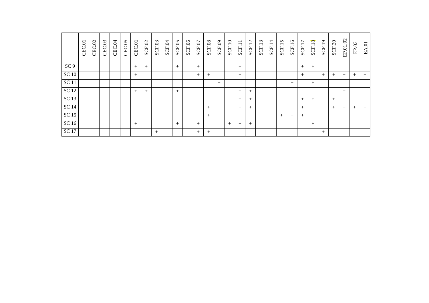|                 | CEC.01 | CEC.02 | CEC.03 | CEC.04 | $\widetilde{S}$<br>CEC. | CEC.01 | <b>SCF.02</b> | SCF.03 | SCF.04 | SCF.05 | SCF.06 | SCF.07 | SCF.08 | SCF.09 | $\overline{10}$<br>SCF. | $\overline{\phantom{0}}$<br>SCF.1 | $\mathbf{\Omega}$<br>$\overline{\phantom{0}}$<br>$\bullet$<br>SCF. | $\omega$<br>SCF.1 | 4<br>$\overline{\phantom{0}}$<br>$\cdot$<br>SCF. | 5<br>SCF.1 | $\circ$<br>$\overline{\phantom{0}}$<br>SCF. | $\overline{ }$<br>SCF.1 | 8<br>$\overline{\phantom{0}}$<br>SCF. | $\sigma$<br>SCF.1 | SCF.20 | $\mathrm{EP}.01,\!02$ | $\rm EP.03$ | EA.01  |
|-----------------|--------|--------|--------|--------|-------------------------|--------|---------------|--------|--------|--------|--------|--------|--------|--------|-------------------------|-----------------------------------|--------------------------------------------------------------------|-------------------|--------------------------------------------------|------------|---------------------------------------------|-------------------------|---------------------------------------|-------------------|--------|-----------------------|-------------|--------|
| SC <sub>9</sub> |        |        |        |        |                         | $^{+}$ | $^{+}$        |        |        | $^{+}$ |        | $^{+}$ |        |        |                         | $^{+}$                            |                                                                    |                   |                                                  |            |                                             | $^{+}$                  | $^{+}$                                |                   |        |                       |             |        |
| <b>SC</b> 10    |        |        |        |        |                         | $+$    |               |        |        |        |        | $^{+}$ | $^{+}$ |        |                         | $^{+}$                            |                                                                    |                   |                                                  |            |                                             | $^{+}$                  |                                       | $^{+}$            | $+$    | $^{+}$                | $+$         | $^{+}$ |
| <b>SC</b> 11    |        |        |        |        |                         |        |               |        |        |        |        |        |        | $^{+}$ |                         |                                   |                                                                    |                   |                                                  |            | $^{+}$                                      |                         | $^{+}$                                |                   |        |                       |             |        |
| <b>SC</b> 12    |        |        |        |        |                         | $^{+}$ | $^{+}$        |        |        | $^{+}$ |        |        |        |        |                         | $^{+}$                            | $^{+}$                                                             |                   |                                                  |            |                                             |                         |                                       |                   |        | $^{+}$                |             |        |
| SC 13           |        |        |        |        |                         |        |               |        |        |        |        |        |        |        |                         | $^{+}$                            | $^{+}$                                                             |                   |                                                  |            |                                             | $^{+}$                  | $^{+}$                                |                   | $+$    |                       |             |        |
| <b>SC 14</b>    |        |        |        |        |                         |        |               |        |        |        |        |        | $^{+}$ |        |                         | $^{+}$                            | $^{+}$                                                             |                   |                                                  |            |                                             | $^{+}$                  |                                       |                   | $^{+}$ | $^{+}$                | $^{+}$      | $^{+}$ |
| <b>SC 15</b>    |        |        |        |        |                         |        |               |        |        |        |        |        | $^{+}$ |        |                         |                                   |                                                                    |                   |                                                  | $^{+}$     | $^{+}$                                      | $^{+}$                  |                                       |                   |        |                       |             |        |
| <b>SC16</b>     |        |        |        |        |                         | $+$    |               |        |        | $^{+}$ |        | $+$    |        |        | $^{+}$                  | $^{+}$                            | $^{+}$                                                             |                   |                                                  |            |                                             |                         | $+$                                   |                   |        |                       |             |        |
| <b>SC17</b>     |        |        |        |        |                         |        |               | $+$    |        |        |        | $^{+}$ | $^{+}$ |        |                         |                                   |                                                                    |                   |                                                  |            |                                             |                         |                                       | $+$               |        |                       |             |        |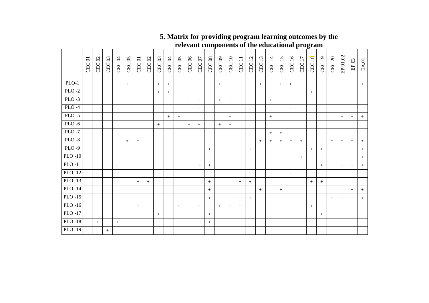|           | CEC.01 | CEC.02 | CEC.03          | CEC.04 | CEC.05 | CEC.01            | CEC.02 | CEC.03 | CEC.04 | CEC.05 | CEC.06 | CEC.07          | CEC.08 | CEC.09 | CEC.10 | <b>CEC.11</b> | <b>CEC.12</b>    | <b>CEC.13</b> | <b>CEC.14</b>   | CEC.15 | CEC.16 | <b>CEC.17</b> | <b>CEC.18</b>     | CEC.19 | <b>CEC.20</b> | EP.01,02 | EP.03  | $\text{EA}\!.01$ |
|-----------|--------|--------|-----------------|--------|--------|-------------------|--------|--------|--------|--------|--------|-----------------|--------|--------|--------|---------------|------------------|---------------|-----------------|--------|--------|---------------|-------------------|--------|---------------|----------|--------|------------------|
| $PLO-1$   | $+$    |        |                 |        | $^{+}$ |                   |        | $+$    | $+$    |        |        | $+$             |        | $+$    | $+$    |               |                  | $+$           |                 | $+$    | $+$    |               |                   |        |               | $+$      | $+$    | $+$              |
| $PLO-2$   |        |        |                 |        |        |                   |        | $^{+}$ | $+$    |        |        | $^{+}$          |        |        |        |               |                  |               |                 |        |        |               | $^+$              |        |               |          |        |                  |
| $PLO-3$   |        |        |                 |        |        |                   |        |        |        |        | $^{+}$ | $+$             |        | $+$    | $^{+}$ |               |                  |               | $\! + \!\!\!\!$ |        |        |               |                   |        |               |          |        |                  |
| $PLO-4$   |        |        |                 |        |        |                   |        |        |        |        |        | $^{+}$          |        |        |        |               |                  |               |                 |        | $+$    |               |                   |        |               |          |        |                  |
| $PLO - 5$ |        |        |                 |        |        |                   |        |        | $+$    | $+$    |        |                 |        |        | $^{+}$ |               |                  |               | $+$             |        |        |               |                   |        |               | $\! +$   | $+$    | $^{+}$           |
| $PLO - 6$ |        |        |                 |        |        |                   |        | $+$    |        |        | $+$    | $+$             |        | $+$    | $+$    |               |                  |               |                 |        |        |               |                   |        |               |          |        |                  |
| $PLO - 7$ |        |        |                 |        |        |                   |        |        |        |        |        |                 |        |        |        |               |                  |               | $\! + \!\!\!\!$ | $+$    |        |               |                   |        |               |          |        |                  |
| $PLO - 8$ |        |        |                 |        | $^{+}$ | $^{+}$            |        |        |        |        |        |                 |        |        |        |               |                  | $+$           | $+$             | $^{+}$ | $+$    | $+$           |                   |        | $+$           | $+$      | $+$    | $^{+}$           |
| $PLO-9$   |        |        |                 |        |        |                   |        |        |        |        |        | $^{+}$          | $^{+}$ |        |        |               | $\boldsymbol{+}$ |               |                 |        | $+$    |               | $\qquad \qquad +$ | $\! +$ |               | $\! +$   | $+$    | $\! + \!\!\!\!$  |
| $PLO-10$  |        |        |                 |        |        |                   |        |        |        |        |        | $+$             |        |        |        |               |                  |               |                 |        |        | $\pm$         |                   |        |               | $\, +$   | $^{+}$ | $+$              |
| $PLO-11$  |        |        |                 | $^{+}$ |        |                   |        |        |        |        |        | $+$             | $^{+}$ |        |        |               |                  |               |                 |        |        |               |                   | $\! +$ |               | $\! +$   | $+$    | $+$              |
| $PLO-12$  |        |        |                 |        |        |                   |        |        |        |        |        |                 |        |        |        |               |                  |               |                 |        | $+$    |               |                   |        |               |          |        |                  |
| $PLO-13$  |        |        |                 |        |        | $\qquad \qquad +$ | $^+$   |        |        |        |        |                 | $^{+}$ |        |        | $^{+}$        | $+$              |               |                 |        |        |               | $\qquad \qquad +$ | $+$    |               |          |        |                  |
| $PLO-14$  |        |        |                 |        |        |                   |        |        |        |        |        |                 | $^+$   |        |        |               |                  | $+$           |                 | $+$    |        |               |                   |        |               |          | $+$    | $+$              |
| $PLO-15$  |        |        |                 |        |        |                   |        |        |        |        |        |                 | $^{+}$ |        |        | $+$           | $+$              |               |                 |        |        |               |                   |        | $+$           | $\! +$   | $+$    | $+$              |
| $PLO-16$  |        |        |                 |        |        | $\! +$            |        |        |        | $^{+}$ |        | $+$             |        | $+$    | $^{+}$ | $^{+}$        |                  |               |                 |        |        |               | $\qquad \qquad +$ |        |               |          |        |                  |
| $PLO-17$  |        |        |                 |        |        |                   |        | $^{+}$ |        |        |        | $\! + \!\!\!\!$ | $^{+}$ |        |        |               |                  |               |                 |        |        |               |                   | $\! +$ |               |          |        |                  |
| PLO -18   | $+$    | $+$    |                 | $+$    |        |                   |        |        |        |        |        |                 | $^{+}$ |        |        |               |                  |               |                 |        |        |               |                   |        |               |          |        |                  |
| $PLO-19$  |        |        | $\! + \!\!\!\!$ |        |        |                   |        |        |        |        |        |                 |        |        |        |               |                  |               |                 |        |        |               |                   |        |               |          |        |                  |

# **5. Matrix for providing program learning outcomes by the relevant components of the educational program**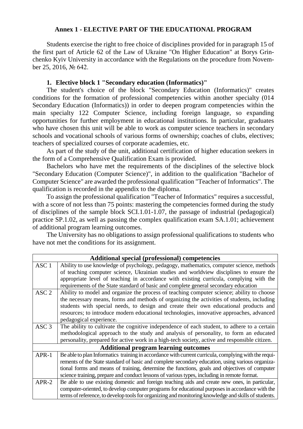#### **Annex 1 - ELECTIVE PART OF THE EDUCATIONAL PROGRAM**

Students exercise the right to free choice of disciplines provided for in paragraph 15 of the first part of Article 62 of the Law of Ukraine "On Higher Education" at Borys Grinchenko Kyiv University in accordance with the Regulations on the procedure from November 25, 2016, № 642.

#### **1. Elective block 1 "Secondary education (Informatics)"**

The student's choice of the block "Secondary Education (Informatics)" creates conditions for the formation of professional competencies within another specialty (014 Secondary Education (Informatics)) in order to deepen program competencies within the main specialty 122 Computer Science, including foreign language, so expanding opportunities for further employment in educational institutions. In particular, graduates who have chosen this unit will be able to work as computer science teachers in secondary schools and vocational schools of various forms of ownership; coaches of clubs, electives; teachers of specialized courses of corporate academies, etc.

As part of the study of the unit, additional certification of higher education seekers in the form of a Comprehensive Qualification Exam is provided.

Bachelors who have met the requirements of the disciplines of the selective block "Secondary Education (Computer Science)", in addition to the qualification "Bachelor of Computer Science" are awarded the professional qualification "Teacher of Informatics". The qualification is recorded in the appendix to the diploma.

To assign the professional qualification "Teacher of Informatics" requires a successful, with a score of not less than 75 points: mastering the competencies formed during the study of disciplines of the sample block SCI.1.01-1.07, the passage of industrial (pedagogical) practice SP.1.02, as well as passing the complex qualification exam SA.1.01; achievement of additional program learning outcomes.

The University has no obligations to assign professional qualifications to students who have not met the conditions for its assignment.

|                  | <b>Additional special (professional) competencies</b>                                                |
|------------------|------------------------------------------------------------------------------------------------------|
| ASC <sub>1</sub> | Ability to use knowledge of psychology, pedagogy, mathematics, computer science, methods             |
|                  | of teaching computer science, Ukrainian studies and worldview disciplines to ensure the              |
|                  | appropriate level of teaching in accordance with existing curricula, complying with the              |
|                  | requirements of the State standard of basic and complete general secondary education                 |
| ASC <sub>2</sub> | Ability to model and organize the process of teaching computer science; ability to choose            |
|                  | the necessary means, forms and methods of organizing the activities of students, including           |
|                  | students with special needs, to design and create their own educational products and                 |
|                  | resources; to introduce modern educational technologies, innovative approaches, advanced             |
|                  | pedagogical experience.                                                                              |
| ASC 3            | The ability to cultivate the cognitive independence of each student, to adhere to a certain          |
|                  | methodological approach to the study and analysis of personality, to form an educated                |
|                  | personality, prepared for active work in a high-tech society, active and responsible citizen.        |
|                  | <b>Additional program learning outcomes</b>                                                          |
| $APR-1$          | Be able to plan Informatics training in accordance with current curricula, complying with the requi- |
|                  | rements of the State standard of basic and complete secondary education, using various organiza-     |
|                  | tional forms and means of training, determine the functions, goals and objectives of computer        |
|                  | science training, prepare and conduct lessons of various types, including in remote format.          |
| $APR-2$          | Be able to use existing domestic and foreign teaching aids and create new ones, in particular,       |
|                  | computer-oriented, to develop computer programs for educational purposes in accordance with the      |
|                  | terms of reference, to develop tools for organizing and monitoring knowledge and skills of students. |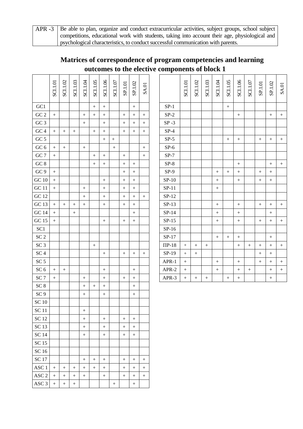APR -3 Be able to plan, organize and conduct extracurricular activities, subject groups, school subject competitions, educational work with students, taking into account their age, physiological and psychological characteristics, to conduct successful communication with parents.

|                        | SCI.1.01         | SCI.1.02         | SCI.1.03         | <b>NOTIDS</b>    | SCI.1.05         | SCI.1.06         | $\text{SCI.1.07}$ | SP.1.01          | SP.1.02 | <b>SA.01</b>     |            | SCI.1.01        | SCI.1.02 | SCI.1.03 | <b>NOTIDS</b>    | SCI.1.05         | SCI.1.06         | $\text{SCI.1.07}$ | SP.1.01          | SP.1.02          | <b>SA.01</b>     |
|------------------------|------------------|------------------|------------------|------------------|------------------|------------------|-------------------|------------------|---------|------------------|------------|-----------------|----------|----------|------------------|------------------|------------------|-------------------|------------------|------------------|------------------|
| GC1                    |                  |                  |                  |                  | $\boldsymbol{+}$ |                  |                   |                  |         |                  | $SP-1$     |                 |          |          |                  | $\boldsymbol{+}$ |                  |                   |                  |                  |                  |
| $\rm GC$ $2$           | $\boldsymbol{+}$ |                  |                  | $\boldsymbol{+}$ | $\boldsymbol{+}$ |                  |                   | $\boldsymbol{+}$ | $^{+}$  | $\boldsymbol{+}$ | $SP-2$     |                 |          |          |                  |                  | $^{+}$           |                   |                  | $\boldsymbol{+}$ | $\boldsymbol{+}$ |
| GC <sub>3</sub>        |                  |                  |                  | $\boldsymbol{+}$ |                  |                  |                   |                  | $^{+}$  |                  | $SP-3$     |                 |          |          |                  |                  |                  |                   |                  |                  |                  |
| ${\rm GC}$ 4           | $\boldsymbol{+}$ | $\boldsymbol{+}$ |                  |                  |                  | $^{+}$           |                   | $\boldsymbol{+}$ | $^{+}$  | $\boldsymbol{+}$ | $SP-4$     |                 |          |          |                  |                  |                  |                   |                  |                  |                  |
| GC $5$                 |                  |                  |                  |                  |                  | $\boldsymbol{+}$ | $+$               |                  |         |                  | $SP-5$     |                 |          |          |                  | $\boldsymbol{+}$ | $\! + \!$        |                   | $\boldsymbol{+}$ | $\boldsymbol{+}$ | $\boldsymbol{+}$ |
| ${\rm GC}$ 6           | $\boldsymbol{+}$ | $\boldsymbol{+}$ |                  | $\boldsymbol{+}$ |                  |                  |                   |                  |         |                  | $SP-6$     |                 |          |          |                  |                  |                  |                   |                  |                  |                  |
| $\rm GC$ 7             | $\boldsymbol{+}$ |                  |                  |                  | $^{+}$           | $\boldsymbol{+}$ |                   | $\boldsymbol{+}$ |         | $\boldsymbol{+}$ | $SP-7$     |                 |          |          |                  |                  |                  |                   |                  |                  |                  |
| $\rm GC$ $8$           |                  |                  |                  |                  | $\boldsymbol{+}$ |                  |                   | $\boldsymbol{+}$ |         |                  | $SP-8$     |                 |          |          |                  |                  | $\boldsymbol{+}$ |                   |                  | $\boldsymbol{+}$ | $\boldsymbol{+}$ |
| GC 9                   | $\boldsymbol{+}$ |                  |                  |                  |                  |                  |                   |                  |         |                  | $SP-9$     |                 |          |          | $^{+}$           | $\boldsymbol{+}$ | $\boldsymbol{+}$ |                   | $\boldsymbol{+}$ | $\boldsymbol{+}$ |                  |
| $\rm GC$ $10$          | $\boldsymbol{+}$ |                  |                  |                  |                  | $+$              |                   | $\boldsymbol{+}$ | $^{+}$  |                  | $SP-10$    |                 |          |          | $^{+}$           |                  | $\boldsymbol{+}$ |                   | $\boldsymbol{+}$ | $\! + \!\!\!\!$  |                  |
| $\rm GC$ 11            | $\boldsymbol{+}$ |                  |                  | $\boldsymbol{+}$ |                  | $\boldsymbol{+}$ |                   | $\boldsymbol{+}$ | $^{+}$  |                  | $SP-11$    |                 |          |          | $\boldsymbol{+}$ |                  |                  |                   |                  |                  |                  |
| <b>GC 12</b>           |                  |                  |                  | $\boldsymbol{+}$ |                  |                  |                   |                  |         |                  | $SP-12$    |                 |          |          |                  |                  |                  |                   |                  |                  |                  |
| $\rm GC$ 13            | $\boldsymbol{+}$ | $\boldsymbol{+}$ | $\boldsymbol{+}$ | $\boldsymbol{+}$ |                  |                  |                   |                  |         |                  | $SP-13$    |                 |          |          | $\boldsymbol{+}$ |                  | $\boldsymbol{+}$ |                   | $\boldsymbol{+}$ | $\boldsymbol{+}$ | $\boldsymbol{+}$ |
| <b>GC 14</b>           | $\boldsymbol{+}$ |                  | $+$              |                  |                  |                  |                   |                  |         |                  | $SP-14$    |                 |          |          | $\! + \!$        |                  | $+$              |                   |                  | $\boldsymbol{+}$ |                  |
| <b>GC 15</b>           | $\boldsymbol{+}$ |                  |                  |                  |                  |                  |                   |                  |         |                  | $SP-15$    |                 |          |          | $\boldsymbol{+}$ |                  | $\boldsymbol{+}$ |                   | $\boldsymbol{+}$ | $\boldsymbol{+}$ | $\boldsymbol{+}$ |
| SC1                    |                  |                  |                  |                  |                  |                  |                   |                  |         |                  | $SP-16$    |                 |          |          |                  |                  |                  |                   |                  |                  |                  |
| $\operatorname{SC}2$   |                  |                  |                  |                  |                  |                  |                   |                  |         |                  | $SP-17$    |                 |          |          | $\boldsymbol{+}$ | $\boldsymbol{+}$ | $^{+}$           |                   |                  | $\boldsymbol{+}$ |                  |
| $SC3$                  |                  |                  |                  |                  | $\boldsymbol{+}$ |                  |                   |                  |         |                  | $\Pi$ P-18 | $\! + \!\!\!\!$ |          | $^{+}$   |                  |                  | $\boldsymbol{+}$ |                   | $\boldsymbol{+}$ | $\boldsymbol{+}$ | $\boldsymbol{+}$ |
| $\cal{SC}$ 4           |                  |                  |                  |                  |                  | $\boldsymbol{+}$ |                   | $\boldsymbol{+}$ |         | $\! +$           | $SP-19$    | $\! + \!\!\!\!$ |          |          |                  |                  |                  |                   |                  | $\! + \!\!\!\!$  |                  |
| $\operatorname{SC}5$   |                  |                  |                  |                  |                  |                  |                   |                  |         |                  | APR-1      |                 |          |          | $\boldsymbol{+}$ |                  | $+$              |                   | $\boldsymbol{+}$ |                  | $\boldsymbol{+}$ |
| $SC6$                  | $\boldsymbol{+}$ | $\boldsymbol{+}$ |                  |                  |                  |                  |                   |                  |         |                  | APR-2      | $^{+}$          |          |          |                  |                  | $\boldsymbol{+}$ | $\boldsymbol{+}$  |                  | $\boldsymbol{+}$ | $\boldsymbol{+}$ |
| $\cal{SC}$ 7           | $\boldsymbol{+}$ |                  |                  | $\boldsymbol{+}$ |                  | $^{+}$           |                   | $\boldsymbol{+}$ |         |                  | APR-3      |                 | $^{+}$   | $^{+}$   |                  | $+$              | $^{+}$           |                   |                  | $\boldsymbol{+}$ |                  |
| $\cal{SC}$ 8           |                  |                  |                  | $\boldsymbol{+}$ | $\boldsymbol{+}$ |                  |                   |                  |         |                  |            |                 |          |          |                  |                  |                  |                   |                  |                  |                  |
| SC <sub>9</sub>        |                  |                  |                  | $\boldsymbol{+}$ |                  |                  |                   |                  |         |                  |            |                 |          |          |                  |                  |                  |                   |                  |                  |                  |
| $\rm SC$ $10$          |                  |                  |                  |                  |                  |                  |                   |                  |         |                  |            |                 |          |          |                  |                  |                  |                   |                  |                  |                  |
| <b>SC11</b>            |                  |                  |                  | $\boldsymbol{+}$ |                  |                  |                   |                  |         |                  |            |                 |          |          |                  |                  |                  |                   |                  |                  |                  |
| <b>SC12</b>            |                  |                  |                  | $\boldsymbol{+}$ |                  |                  |                   | $\boldsymbol{+}$ | $^{+}$  |                  |            |                 |          |          |                  |                  |                  |                   |                  |                  |                  |
| <b>SC13</b>            |                  |                  |                  | $\boldsymbol{+}$ |                  | $^{+}$           |                   |                  | $^{+}$  |                  |            |                 |          |          |                  |                  |                  |                   |                  |                  |                  |
| <b>SC 14</b>           |                  |                  |                  | $\boldsymbol{+}$ |                  |                  |                   | $\boldsymbol{+}$ | $^{+}$  |                  |            |                 |          |          |                  |                  |                  |                   |                  |                  |                  |
| <b>SC 15</b>           |                  |                  |                  |                  |                  |                  |                   |                  |         |                  |            |                 |          |          |                  |                  |                  |                   |                  |                  |                  |
| $\rm SC$ 16            |                  |                  |                  |                  |                  |                  |                   |                  |         |                  |            |                 |          |          |                  |                  |                  |                   |                  |                  |                  |
| <b>SC17</b>            |                  |                  |                  | $\boldsymbol{+}$ | $\pm$            |                  |                   | $\boldsymbol{+}$ |         | $\boldsymbol{+}$ |            |                 |          |          |                  |                  |                  |                   |                  |                  |                  |
| ASC <sub>1</sub>       | $\boldsymbol{+}$ | $\boldsymbol{+}$ | $^{+}$           | $^{+}$           |                  | $^{+}$           |                   | $^{+}$           | $^+$    |                  |            |                 |          |          |                  |                  |                  |                   |                  |                  |                  |
| $\operatorname{ASC} 2$ | $\boldsymbol{+}$ |                  | $^{+}$           | $\boldsymbol{+}$ |                  |                  |                   |                  | $^{+}$  | $\boldsymbol{+}$ |            |                 |          |          |                  |                  |                  |                   |                  |                  |                  |
| ASC <sub>3</sub>       | $\pm$            | $\! + \!$        | $+$              |                  |                  |                  | $\boldsymbol{+}$  |                  |         |                  |            |                 |          |          |                  |                  |                  |                   |                  |                  |                  |

# **Matrices of correspondence of program competencies and learning outcomes to the elective components of block 1**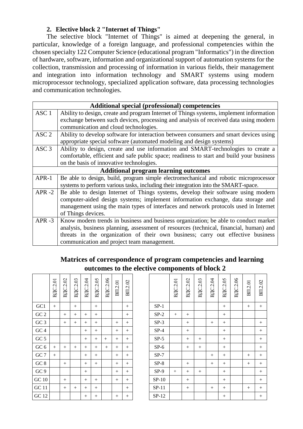#### **2. Elective block 2 "Internet of Things"**

The selective block "Internet of Things" is aimed at deepening the general, in particular, knowledge of a foreign language, and professional competencies within the chosen specialty 122 Computer Science (educational program "Informatics") in the direction of hardware, software, information and organizational support of automation systems for the collection, transmission and processing of information in various fields, their management and integration into information technology and SMART systems using modern microprocessor technology, specialized application software, data processing technologies and communication technologies.

|                  | Additional special (professional) competencies                                           |
|------------------|------------------------------------------------------------------------------------------|
| ASC <sub>1</sub> | Ability to design, create and program Internet of Things systems, implement information  |
|                  | exchange between such devices, processing and analysis of received data using modern     |
|                  | communication and cloud technologies.                                                    |
| ASC <sub>2</sub> | Ability to develop software for interaction between consumers and smart devices using    |
|                  | appropriate special software (automated modeling and design systems)                     |
| ASC 3            | Ability to design, create and use information and SMART-technologies to create a         |
|                  | comfortable, efficient and safe public space; readiness to start and build your business |
|                  | on the basis of innovative technologies.                                                 |
|                  | <b>Additional program learning outcomes</b>                                              |
| $APR-1$          | Be able to design, build, program simple electromechanical and robotic microprocessor    |
|                  | systems to perform various tasks, including their integration into the SMART-space.      |
| $APR - 2$        | Be able to design Internet of Things systems, develop their software using modern        |
|                  | computer-aided design systems; implement information exchange, data storage and          |
|                  | management using the main types of interfaces and network protocols used in Internet     |
|                  | of Things devices.                                                                       |
| $APR - 3$        | Know modern trends in business and business organization; be able to conduct market      |
|                  | analysis, business planning, assessment of resources (technical, financial, human) and   |
|                  | threats in the organization of their own business; carry out effective business          |
|                  | communication and project team management.                                               |

# **Matrices of correspondence of program competencies and learning outcomes to the elective components of block 2**

|                 | <b>B</b> IC <sub>2.01</sub> | <b>B</b> IC.2.02 | <b>B</b> IC.2.03 | <b>B</b> IC.2.04 | <b>B</b> IC.2.05 | B <sub>IC</sub> .2.06 | <b>BIL2.01</b> | BII.2.02 |         | <b>B</b> IC.2.01 | <b>B</b> IC.2.02 | <b>B</b> IC.2.03 | <b>B</b> IC.2.04 | RTIC 205 |
|-----------------|-----------------------------|------------------|------------------|------------------|------------------|-----------------------|----------------|----------|---------|------------------|------------------|------------------|------------------|----------|
| GC1             | $+$                         |                  | $+$              |                  | $^{+}$           |                       |                | $+$      | $SP-1$  |                  |                  |                  |                  | $^{+}$   |
| $\rm GC$ $2$    |                             | $+$              | $+$              | $+$              | $+$              |                       |                | $+$      | $SP-2$  | $^{+}$           | $^{+}$           |                  |                  | $^{+}$   |
| GC <sub>3</sub> |                             | $^{+}$           | $+$              | $^{+}$           | $^{+}$           |                       | $^{+}$         | $+$      | $SP-3$  |                  | $^{+}$           |                  | $+$              | $^{+}$   |
| GC <sub>4</sub> |                             |                  |                  | $^{+}$           | $^{+}$           |                       | $^{+}$         | $+$      | $SP-4$  |                  | $^{+}$           |                  |                  | $^{+}$   |
| GC $5$          |                             |                  |                  | $+$              | $+$              | $+$                   | $+$            | $+$      | $SP-5$  |                  | $+$              | $+$              |                  | $^{+}$   |
| GC $6\,$        | $^{+}$                      | $^{+}$           | $+$              | $^{+}$           | $^{+}$           | $+$                   | $^{+}$         | $+$      | $SP-6$  |                  | $^{+}$           | $+$              |                  | $^{+}$   |
| $\rm GC$ 7      | $+$                         |                  |                  | $^{+}$           | $^{+}$           |                       | $^{+}$         | $+$      | $SP-7$  |                  |                  |                  | $^{+}$           | $^{+}$   |
| $\rm GC$ 8      |                             | $^{+}$           |                  | $+$              | $+$              |                       | $+$            | $+$      | $SP-8$  |                  | $^{+}$           |                  | $^{+}$           | $^{+}$   |
| GC 9            |                             |                  |                  | $^{+}$           |                  |                       | $^{+}$         | $+$      | $SP-9$  | $+$              | $^{+}$           | $+$              |                  | $^{+}$   |
| $\rm GC$ $10$   |                             | $^{+}$           |                  | $^{+}$           | $^{+}$           |                       | $^{+}$         | $+$      | $SP-10$ |                  | $^{+}$           |                  |                  | $^{+}$   |
| <b>GC</b> 11    |                             | $+$              | $+$              | $+$              | $+$              |                       |                | $+$      | $SP-11$ |                  | $+$              |                  | $^{+}$           | $^{+}$   |
| <b>GC</b> 12    |                             |                  |                  | $^{+}$           | $^{+}$           |                       | $^{+}$         | $^{+}$   | $SP-12$ |                  |                  |                  |                  | $^{+}$   |

|                 | <b>B</b> IC <sub>2.01</sub> | <b>B</b> IC.2.02 | <b>B</b> IC.2.03 | <b>B</b> IC.2.04 | <b>B</b> IC.2.05 | <b>B</b> IC.2.06 | <b>BIL2.01</b> | BII.2.02 |         | <b>B</b> IC.2.01 | <b>B</b> IC.2.02 | <b>B</b> IC2.03 | <b>B</b> IC.2.04 | <b>B</b> IC.2.05 | <b>ВДС2.06</b> | 2.01<br>BII. | BII.2.02 |
|-----------------|-----------------------------|------------------|------------------|------------------|------------------|------------------|----------------|----------|---------|------------------|------------------|-----------------|------------------|------------------|----------------|--------------|----------|
| GC1             | $+$                         |                  | $^{+}$           |                  | $+$              |                  |                | $^{+}$   | $SP-1$  |                  |                  |                 |                  | $^{+}$           |                | $^{+}$       | $^{+}$   |
| GC <sub>2</sub> |                             | $+$              | $^{+}$           | $^{+}$           | $+$              |                  |                | $+$      | $SP-2$  | $+$              | $^{+}$           |                 |                  | $^{+}$           |                |              |          |
| GC <sub>3</sub> |                             | $+$              | $+$              | $^{+}$           | $+$              |                  | $+$            | $^{+}$   | $SP-3$  |                  | $+$              |                 | $+$              | $^{+}$           |                |              | $^{+}$   |
| $G C 4$         |                             |                  |                  | $^{+}$           | $+$              |                  | $+$            | $+$      | $SP-4$  |                  | $+$              |                 |                  | $^{+}$           |                |              | $+$      |
| GC $5$          |                             |                  |                  | $^{+}$           | $+$              | $^{+}$           | $^{+}$         | $^{+}$   | $SP-5$  |                  | $^{+}$           | $^{+}$          |                  | $^{+}$           |                |              | $^{+}$   |
| $\rm GC$ $6$    | $+$                         | $^{+}$           | $^{+}$           | $+$              | $+$              | $+$              | $+$            | $+$      | $SP-6$  |                  | $+$              | $+$             |                  | $+$              |                |              | $+$      |
| GC 7            | $+$                         |                  |                  | $^{+}$           | $+$              |                  | $+$            | $+$      | $SP-7$  |                  |                  |                 | $^{+}$           | $^{+}$           |                | $^{+}$       | $+$      |
| $GC\ 8$         |                             | $^{+}$           |                  | $^{+}$           | $+$              |                  | $+$            | $^{+}$   | $SP-8$  |                  | $^{+}$           |                 | $^{+}$           | $^{+}$           |                | $^{+}$       | $^{+}$   |
| GC 9            |                             |                  |                  | $^{+}$           |                  |                  | $+$            | $+$      | $SP-9$  | $+$              | $^{+}$           | $^{+}$          |                  | $^{+}$           |                |              | $+$      |
| GC10            |                             | $^{+}$           |                  | $^{+}$           | $+$              |                  | $+$            | $+$      | $SP-10$ |                  | $+$              |                 |                  | $^{+}$           |                |              | $^{+}$   |
| GC11            |                             | $^{+}$           | $^{+}$           | $^{+}$           | $+$              |                  |                | $+$      | $SP-11$ |                  | $+$              |                 | $^{+}$           | $^{+}$           |                | $^{+}$       | $+$      |
| GC 12           |                             |                  |                  | $^{+}$           | $+$              |                  | $^{+}$         | $+$      | $SP-12$ |                  |                  |                 |                  | $^{+}$           |                |              | $^{+}$   |